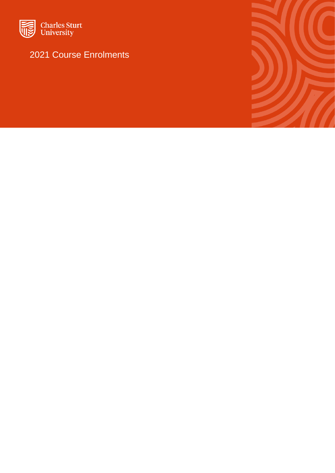

#### 2021 Course Enrolments

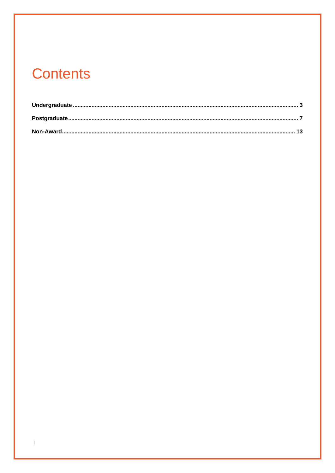## **Contents**

 $\bar{\perp}$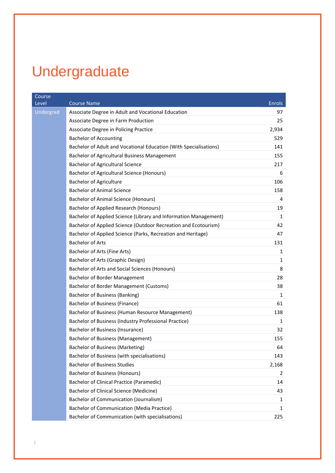# <span id="page-2-0"></span>Undergraduate

| Course    |                                                                   |               |
|-----------|-------------------------------------------------------------------|---------------|
| Level     | <b>Course Name</b>                                                | <b>Enrols</b> |
| Undergrad | Associate Degree in Adult and Vocational Education                | 97            |
|           | Associate Degree in Farm Production                               | 25            |
|           | Associate Degree in Policing Practice                             | 2,934         |
|           | <b>Bachelor of Accounting</b>                                     | 529           |
|           | Bachelor of Adult and Vocational Education (With Specialisations) | 141           |
|           | Bachelor of Agricultural Business Management                      | 155           |
|           | <b>Bachelor of Agricultural Science</b>                           | 217           |
|           | Bachelor of Agricultural Science (Honours)                        | 6             |
|           | <b>Bachelor of Agriculture</b>                                    | 106           |
|           | <b>Bachelor of Animal Science</b>                                 | 158           |
|           | <b>Bachelor of Animal Science (Honours)</b>                       | 4             |
|           | Bachelor of Applied Research (Honours)                            | 19            |
|           | Bachelor of Applied Science (Library and Information Management)  | 1             |
|           | Bachelor of Applied Science (Outdoor Recreation and Ecotourism)   | 42            |
|           | Bachelor of Applied Science (Parks, Recreation and Heritage)      | 47            |
|           | <b>Bachelor of Arts</b>                                           | 131           |
|           | Bachelor of Arts (Fine Arts)                                      | 1             |
|           | Bachelor of Arts (Graphic Design)                                 | 1             |
|           | Bachelor of Arts and Social Sciences (Honours)                    | 8             |
|           | <b>Bachelor of Border Management</b>                              | 28            |
|           | Bachelor of Border Management (Customs)                           | 38            |
|           | Bachelor of Business (Banking)                                    | 1             |
|           | <b>Bachelor of Business (Finance)</b>                             | 61            |
|           | Bachelor of Business (Human Resource Management)                  | 138           |
|           | Bachelor of Business (Industry Professional Practice)             | 1             |
|           | <b>Bachelor of Business (Insurance)</b>                           | 32            |
|           | <b>Bachelor of Business (Management)</b>                          | 155           |
|           | <b>Bachelor of Business (Marketing)</b>                           | 64            |
|           | Bachelor of Business (with specialisations)                       | 143           |
|           | <b>Bachelor of Business Studies</b>                               | 2,168         |
|           | <b>Bachelor of Business (Honours)</b>                             | 2             |
|           | Bachelor of Clinical Practice (Paramedic)                         | 14            |
|           | Bachelor of Clinical Science (Medicine)                           | 43            |
|           | <b>Bachelor of Communication (Journalism)</b>                     | 1             |
|           | <b>Bachelor of Communication (Media Practice)</b>                 | 1             |
|           | Bachelor of Communication (with specialisations)                  | 225           |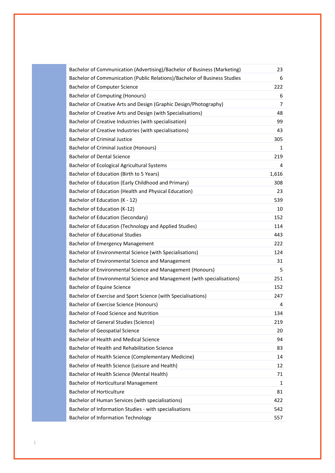| Bachelor of Communication (Advertising)/Bachelor of Business (Marketing)  | 23    |
|---------------------------------------------------------------------------|-------|
| Bachelor of Communication (Public Relations)/Bachelor of Business Studies | 6     |
| <b>Bachelor of Computer Science</b>                                       | 222   |
| <b>Bachelor of Computing (Honours)</b>                                    | 6     |
| Bachelor of Creative Arts and Design (Graphic Design/Photography)         | 7     |
| Bachelor of Creative Arts and Design (with Specialisations)               | 48    |
| Bachelor of Creative Industries (with specialisation)                     | 99    |
| Bachelor of Creative Industries (with specialisations)                    | 43    |
| <b>Bachelor of Criminal Justice</b>                                       | 305   |
| <b>Bachelor of Criminal Justice (Honours)</b>                             | 1     |
| <b>Bachelor of Dental Science</b>                                         | 219   |
| <b>Bachelor of Ecological Agricultural Systems</b>                        | 4     |
| Bachelor of Education (Birth to 5 Years)                                  | 1,616 |
| Bachelor of Education (Early Childhood and Primary)                       | 308   |
| Bachelor of Education (Health and Physical Education)                     | 23    |
| Bachelor of Education (K - 12)                                            | 539   |
| Bachelor of Education (K-12)                                              | 10    |
| <b>Bachelor of Education (Secondary)</b>                                  | 152   |
| Bachelor of Education (Technology and Applied Studies)                    | 114   |
| <b>Bachelor of Educational Studies</b>                                    | 443   |
| <b>Bachelor of Emergency Management</b>                                   | 222   |
| Bachelor of Environmental Science (with Specialisations)                  | 124   |
| Bachelor of Environmental Science and Management                          | 31    |
| Bachelor of Environmental Science and Management (Honours)                | 5     |
| Bachelor of Environmental Science and Management (with specialisations)   | 251   |
| <b>Bachelor of Equine Science</b>                                         | 152   |
| Bachelor of Exercise and Sport Science (with Specialisations)             | 247   |
| Bachelor of Exercise Science (Honours)                                    | 4     |
| Bachelor of Food Science and Nutrition                                    | 134   |
| <b>Bachelor of General Studies (Science)</b>                              | 219   |
| <b>Bachelor of Geospatial Science</b>                                     | 20    |
| <b>Bachelor of Health and Medical Science</b>                             | 94    |
| Bachelor of Health and Rehabilitation Science                             | 83    |
| Bachelor of Health Science (Complementary Medicine)                       | 14    |
| Bachelor of Health Science (Leisure and Health)                           | 12    |
| Bachelor of Health Science (Mental Health)                                | 71    |
| <b>Bachelor of Horticultural Management</b>                               | 1     |
| <b>Bachelor of Horticulture</b>                                           | 81    |
| Bachelor of Human Services (with specialisations)                         | 422   |
| Bachelor of Information Studies - with specialisations                    | 542   |
| <b>Bachelor of Information Technology</b>                                 | 557   |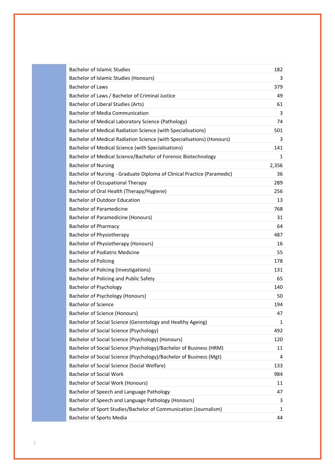| <b>Bachelor of Islamic Studies</b>                                      | 182   |
|-------------------------------------------------------------------------|-------|
| <b>Bachelor of Islamic Studies (Honours)</b>                            | 3     |
| <b>Bachelor of Laws</b>                                                 | 379   |
| Bachelor of Laws / Bachelor of Criminal Justice                         | 49    |
| Bachelor of Liberal Studies (Arts)                                      | 61    |
| <b>Bachelor of Media Communication</b>                                  | 3     |
| Bachelor of Medical Laboratory Science (Pathology)                      | 74    |
| Bachelor of Medical Radiation Science (with Specialisations)            | 501   |
| Bachelor of Medical Radiation Science (with Specialisations) (Honours)  | 3     |
| Bachelor of Medical Science (with Specialisations)                      | 141   |
| Bachelor of Medical Science/Bachelor of Forensic Biotechnology          | 1     |
| <b>Bachelor of Nursing</b>                                              | 2,356 |
| Bachelor of Nursing - Graduate Diploma of Clinical Practice (Paramedic) | 36    |
| <b>Bachelor of Occupational Therapy</b>                                 | 289   |
| Bachelor of Oral Health (Therapy/Hygiene)                               | 256   |
| <b>Bachelor of Outdoor Education</b>                                    | 13    |
| <b>Bachelor of Paramedicine</b>                                         | 768   |
| <b>Bachelor of Paramedicine (Honours)</b>                               | 31    |
| <b>Bachelor of Pharmacy</b>                                             | 64    |
| Bachelor of Physiotherapy                                               | 487   |
| <b>Bachelor of Physiotherapy (Honours)</b>                              | 16    |
| <b>Bachelor of Podiatric Medicine</b>                                   | 55    |
| <b>Bachelor of Policing</b>                                             | 178   |
| <b>Bachelor of Policing (Investigations)</b>                            | 131   |
| Bachelor of Policing and Public Safety                                  | 65    |
| <b>Bachelor of Psychology</b>                                           | 140   |
| <b>Bachelor of Psychology (Honours)</b>                                 | 50    |
| <b>Bachelor of Science</b>                                              | 194   |
| <b>Bachelor of Science (Honours)</b>                                    | 47    |
| Bachelor of Social Science (Gerontology and Healthy Ageing)             | 1     |
| Bachelor of Social Science (Psychology)                                 | 492   |
| Bachelor of Social Science (Psychology) (Honours)                       | 120   |
| Bachelor of Social Science (Psychology)/Bachelor of Business (HRM)      | 11    |
| Bachelor of Social Science (Psychology)/Bachelor of Business (Mgt)      | 4     |
| Bachelor of Social Science (Social Welfare)                             | 133   |
| <b>Bachelor of Social Work</b>                                          | 984   |
| Bachelor of Social Work (Honours)                                       | 11    |
| Bachelor of Speech and Language Pathology                               | 47    |
| Bachelor of Speech and Language Pathology (Honours)                     | 3     |
| Bachelor of Sport Studies/Bachelor of Communication (Journalism)        | 1     |
| <b>Bachelor of Sports Media</b>                                         | 44    |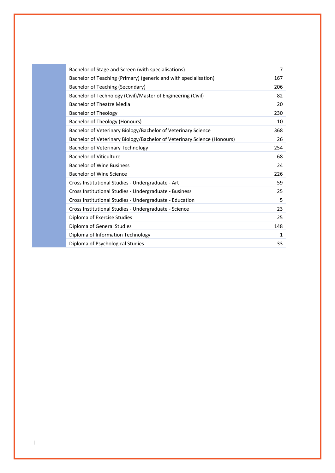| Bachelor of Stage and Screen (with specialisations)                     | 7   |
|-------------------------------------------------------------------------|-----|
| Bachelor of Teaching (Primary) (generic and with specialisation)        | 167 |
| Bachelor of Teaching (Secondary)                                        | 206 |
| Bachelor of Technology (Civil)/Master of Engineering (Civil)            | 82  |
| <b>Bachelor of Theatre Media</b>                                        | 20  |
| <b>Bachelor of Theology</b>                                             | 230 |
| <b>Bachelor of Theology (Honours)</b>                                   | 10  |
| Bachelor of Veterinary Biology/Bachelor of Veterinary Science           | 368 |
| Bachelor of Veterinary Biology/Bachelor of Veterinary Science (Honours) | 26  |
| <b>Bachelor of Veterinary Technology</b>                                | 254 |
| <b>Bachelor of Viticulture</b>                                          | 68  |
| <b>Bachelor of Wine Business</b>                                        | 24  |
| <b>Bachelor of Wine Science</b>                                         | 226 |
| Cross Institutional Studies - Undergraduate - Art                       | 59  |
| Cross Institutional Studies - Undergraduate - Business                  | 25  |
| Cross Institutional Studies - Undergraduate - Education                 | 5   |
| Cross Institutional Studies - Undergraduate - Science                   | 23  |
| Diploma of Exercise Studies                                             | 25  |
| Diploma of General Studies                                              | 148 |
| Diploma of Information Technology                                       | 1   |
| Diploma of Psychological Studies                                        | 33  |

 $\|$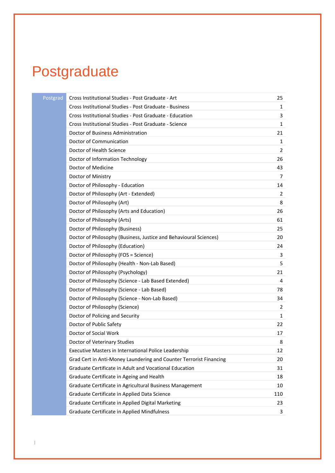## <span id="page-6-0"></span>Postgraduate

| Postgrad | Cross Institutional Studies - Post Graduate - Art                  | 25           |
|----------|--------------------------------------------------------------------|--------------|
|          | Cross Institutional Studies - Post Graduate - Business             | $\mathbf{1}$ |
|          | Cross Institutional Studies - Post Graduate - Education            | 3            |
|          | Cross Institutional Studies - Post Graduate - Science              | $\mathbf{1}$ |
|          | Doctor of Business Administration                                  | 21           |
|          | Doctor of Communication                                            | 1            |
|          | Doctor of Health Science                                           | 2            |
|          | Doctor of Information Technology                                   | 26           |
|          | Doctor of Medicine                                                 | 43           |
|          | Doctor of Ministry                                                 | 7            |
|          | Doctor of Philosophy - Education                                   | 14           |
|          | Doctor of Philosophy (Art - Extended)                              | 2            |
|          | Doctor of Philosophy (Art)                                         | 8            |
|          | Doctor of Philosophy (Arts and Education)                          | 26           |
|          | Doctor of Philosophy (Arts)                                        | 61           |
|          | Doctor of Philosophy (Business)                                    | 25           |
|          | Doctor of Philosophy (Business, Justice and Behavioural Sciences)  | 20           |
|          | Doctor of Philosophy (Education)                                   | 24           |
|          | Doctor of Philosophy (FOS = Science)                               | 3            |
|          | Doctor of Philosophy (Health - Non-Lab Based)                      | 5            |
|          | Doctor of Philosophy (Psychology)                                  | 21           |
|          | Doctor of Philosophy (Science - Lab Based Extended)                | 4            |
|          | Doctor of Philosophy (Science - Lab Based)                         | 78           |
|          | Doctor of Philosophy (Science - Non-Lab Based)                     | 34           |
|          | Doctor of Philosophy (Science)                                     | 2            |
|          | Doctor of Policing and Security                                    | 1            |
|          | Doctor of Public Safety                                            | 22           |
|          | Doctor of Social Work                                              | 17           |
|          | Doctor of Veterinary Studies                                       | 8            |
|          | Executive Masters in International Police Leadership               | 12           |
|          | Grad Cert in Anti-Money Laundering and Counter Terrorist Financing | 20           |
|          | Graduate Certificate in Adult and Vocational Education             | 31           |
|          | Graduate Certificate in Ageing and Health                          | 18           |
|          | Graduate Certificate in Agricultural Business Management           | 10           |
|          | Graduate Certificate in Applied Data Science                       | 110          |
|          | Graduate Certificate in Applied Digital Marketing                  | 23           |
|          | Graduate Certificate in Applied Mindfulness                        | 3            |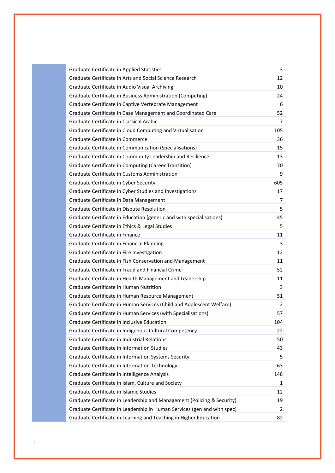| Graduate Certificate in Applied Statistics                               | 3   |
|--------------------------------------------------------------------------|-----|
| Graduate Certificate in Arts and Social Science Research                 | 12  |
| Graduate Certificate in Audio Visual Archiving                           | 10  |
| Graduate Certificate in Business Administration (Computing)              | 24  |
| Graduate Certificate in Captive Vertebrate Management                    | 6   |
| Graduate Certificate in Case Management and Coordinated Care             | 52  |
| Graduate Certificate in Classical Arabic                                 | 7   |
| Graduate Certificate in Cloud Computing and Virtualisation               | 105 |
| Graduate Certificate in Commerce                                         | 36  |
| Graduate Certificate in Communication (Specialisations)                  | 15  |
| Graduate Certificate in Community Leadership and Resilience              | 13  |
| Graduate Certificate in Computing (Career Transition)                    | 70  |
| Graduate Certificate in Customs Administration                           | 9   |
| Graduate Certificate in Cyber Security                                   | 605 |
| Graduate Certificate in Cyber Studies and Investigations                 | 17  |
| Graduate Certificate in Data Management                                  | 7   |
| Graduate Certificate in Dispute Resolution                               | 5   |
| Graduate Certificate in Education (generic and with specialisations)     | 45  |
| Graduate Certificate in Ethics & Legal Studies                           | 5   |
| Graduate Certificate in Finance                                          | 11  |
| Graduate Certificate in Financial Planning                               | 3   |
| Graduate Certificate in Fire Investigation                               | 12  |
| Graduate Certificate in Fish Conservation and Management                 | 11  |
| Graduate Certificate in Fraud and Financial Crime                        | 52  |
| Graduate Certificate in Health Management and Leadership                 | 11  |
| Graduate Certificate in Human Nutrition                                  | 3   |
| Graduate Certificate in Human Resource Management                        | 51  |
| Graduate Certificate in Human Services (Child and Adolescent Welfare)    | 2   |
| Graduate Certificate in Human Services (with Specialisations)            | 57  |
| Graduate Certificate in Inclusive Education                              | 104 |
| Graduate Certificate in Indigenous Cultural Competency                   | 22  |
| Graduate Certificate in Industrial Relations                             | 50  |
| Graduate Certificate in Information Studies                              | 43  |
| Graduate Certificate in Information Systems Security                     | 5   |
| Graduate Certificate in Information Technology                           | 63  |
| Graduate Certificate in Intelligence Analysis                            | 148 |
| Graduate Certificate in Islam, Culture and Society                       | 1   |
| Graduate Certificate in Islamic Studies                                  | 12  |
| Graduate Certificate in Leadership and Management (Policing & Security)  | 19  |
| Graduate Certificate in Leadership in Human Services (gen and with spec) | 2   |
| Graduate Certificate in Learning and Teaching in Higher Education        | 82  |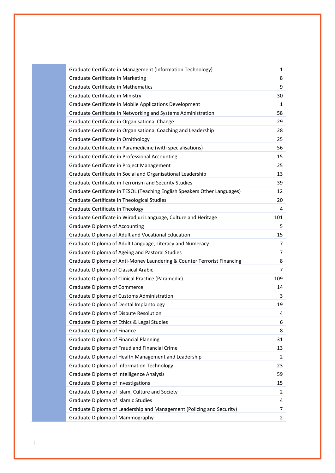| Graduate Certificate in Management (Information Technology)               | 1              |
|---------------------------------------------------------------------------|----------------|
| Graduate Certificate in Marketing                                         | 8              |
| <b>Graduate Certificate in Mathematics</b>                                | 9              |
| Graduate Certificate in Ministry                                          | 30             |
| Graduate Certificate in Mobile Applications Development                   | 1              |
| Graduate Certificate in Networking and Systems Administration             | 58             |
| Graduate Certificate in Organisational Change                             | 29             |
| Graduate Certificate in Organisational Coaching and Leadership            | 28             |
| Graduate Certificate in Ornithology                                       | 25             |
| Graduate Certificate in Paramedicine (with specialisations)               | 56             |
| Graduate Certificate in Professional Accounting                           | 15             |
| Graduate Certificate in Project Management                                | 25             |
| Graduate Certificate in Social and Organisational Leadership              | 13             |
| Graduate Certificate in Terrorism and Security Studies                    | 39             |
| Graduate Certificate in TESOL (Teaching English Speakers Other Languages) | 12             |
| Graduate Certificate in Theological Studies                               | 20             |
| Graduate Certificate in Theology                                          | 4              |
| Graduate Certificate in Wiradjuri Language, Culture and Heritage          | 101            |
| <b>Graduate Diploma of Accounting</b>                                     | 5              |
| Graduate Diploma of Adult and Vocational Education                        | 15             |
| Graduate Diploma of Adult Language, Literacy and Numeracy                 | 7              |
| Graduate Diploma of Ageing and Pastoral Studies                           | 7              |
| Graduate Diploma of Anti-Money Laundering & Counter Terrorist Financing   | 8              |
| Graduate Diploma of Classical Arabic                                      | 7              |
| Graduate Diploma of Clinical Practice (Paramedic)                         | 109            |
| Graduate Diploma of Commerce                                              | 14             |
| Graduate Diploma of Customs Administration                                | 3              |
| Graduate Diploma of Dental Implantology                                   | 19             |
| Graduate Diploma of Dispute Resolution                                    | 4              |
| Graduate Diploma of Ethics & Legal Studies                                | 6              |
| Graduate Diploma of Finance                                               | 8              |
| Graduate Diploma of Financial Planning                                    | 31             |
| Graduate Diploma of Fraud and Financial Crime                             | 13             |
| Graduate Diploma of Health Management and Leadership                      | 2              |
| Graduate Diploma of Information Technology                                | 23             |
| Graduate Diploma of Intelligence Analysis                                 | 59             |
| <b>Graduate Diploma of Investigations</b>                                 | 15             |
| Graduate Diploma of Islam, Culture and Society                            | 2              |
| Graduate Diploma of Islamic Studies                                       | 4              |
| Graduate Diploma of Leadership and Management (Policing and Security)     | 7              |
| Graduate Diploma of Mammography                                           | $\overline{2}$ |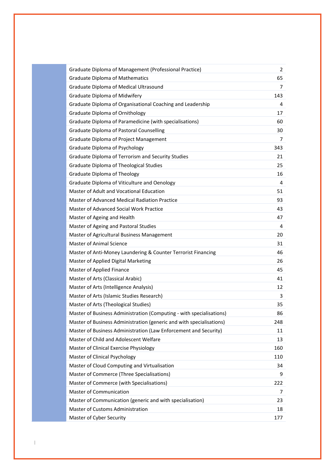| Graduate Diploma of Management (Professional Practice)               | 2   |
|----------------------------------------------------------------------|-----|
| <b>Graduate Diploma of Mathematics</b>                               | 65  |
| Graduate Diploma of Medical Ultrasound                               | 7   |
| <b>Graduate Diploma of Midwifery</b>                                 | 143 |
| Graduate Diploma of Organisational Coaching and Leadership           | 4   |
| <b>Graduate Diploma of Ornithology</b>                               | 17  |
| Graduate Diploma of Paramedicine (with specialisations)              | 60  |
| Graduate Diploma of Pastoral Counselling                             | 30  |
| Graduate Diploma of Project Management                               | 7   |
| <b>Graduate Diploma of Psychology</b>                                | 343 |
| Graduate Diploma of Terrorism and Security Studies                   | 21  |
| Graduate Diploma of Theological Studies                              | 25  |
| <b>Graduate Diploma of Theology</b>                                  | 16  |
| Graduate Diploma of Viticulture and Oenology                         | 4   |
| Master of Adult and Vocational Education                             | 51  |
| Master of Advanced Medical Radiation Practice                        | 93  |
| Master of Advanced Social Work Practice                              | 43  |
| Master of Ageing and Health                                          | 47  |
| Master of Ageing and Pastoral Studies                                | 4   |
| Master of Agricultural Business Management                           | 20  |
| <b>Master of Animal Science</b>                                      | 31  |
| Master of Anti-Money Laundering & Counter Terrorist Financing        | 46  |
| Master of Applied Digital Marketing                                  | 26  |
| Master of Applied Finance                                            | 45  |
| Master of Arts (Classical Arabic)                                    | 41  |
| Master of Arts (Intelligence Analysis)                               | 12  |
| Master of Arts (Islamic Studies Research)                            | 3   |
| Master of Arts (Theological Studies)                                 | 35  |
| Master of Business Administration (Computing - with specialisations) | 86  |
| Master of Business Administration (generic and with specialisations) | 248 |
| Master of Business Administration (Law Enforcement and Security)     | 11  |
| Master of Child and Adolescent Welfare                               | 13  |
| Master of Clinical Exercise Physiology                               | 160 |
| Master of Clinical Psychology                                        | 110 |
| Master of Cloud Computing and Virtualisation                         | 34  |
| Master of Commerce (Three Specialisations)                           | 9   |
| Master of Commerce (with Specialisations)                            | 222 |
| <b>Master of Communication</b>                                       | 7   |
| Master of Communication (generic and with specialisation)            | 23  |
| Master of Customs Administration                                     | 18  |
| Master of Cyber Security                                             | 177 |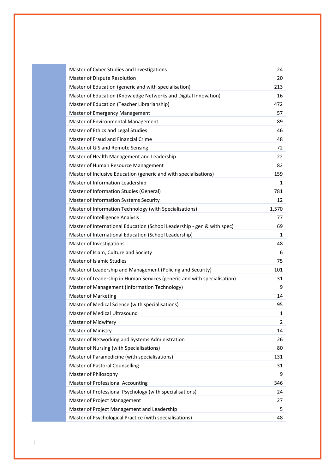| Master of Cyber Studies and Investigations                               | 24    |
|--------------------------------------------------------------------------|-------|
| Master of Dispute Resolution                                             | 20    |
| Master of Education (generic and with specialisation)                    | 213   |
| Master of Education (Knowledge Networks and Digital Innovation)          | 16    |
| Master of Education (Teacher Librarianship)                              | 472   |
| Master of Emergency Management                                           | 57    |
| Master of Environmental Management                                       | 89    |
| Master of Ethics and Legal Studies                                       | 46    |
| Master of Fraud and Financial Crime                                      | 48    |
| Master of GIS and Remote Sensing                                         | 72    |
| Master of Health Management and Leadership                               | 22    |
| Master of Human Resource Management                                      | 82    |
| Master of Inclusive Education (generic and with specialisations)         | 159   |
| Master of Information Leadership                                         | 1     |
| Master of Information Studies (General)                                  | 781   |
| Master of Information Systems Security                                   | 12    |
| Master of Information Technology (with Specialisations)                  | 1,570 |
| Master of Intelligence Analysis                                          | 77    |
| Master of International Education (School Leadership - gen & with spec)  | 69    |
| Master of International Education (School Leadership)                    | 1     |
| Master of Investigations                                                 | 48    |
| Master of Islam, Culture and Society                                     | 6     |
| Master of Islamic Studies                                                | 75    |
| Master of Leadership and Management (Policing and Security)              | 101   |
| Master of Leadership in Human Services (generic and with specialisation) | 31    |
| Master of Management (Information Technology)                            | 9     |
| <b>Master of Marketing</b>                                               | 14    |
| Master of Medical Science (with specialisations)                         | 95    |
| <b>Master of Medical Ultrasound</b>                                      | 1     |
| Master of Midwifery                                                      | 2     |
| Master of Ministry                                                       | 14    |
| Master of Networking and Systems Administration                          | 26    |
| Master of Nursing (with Specialisations)                                 | 80    |
| Master of Paramedicine (with specialisations)                            | 131   |
| <b>Master of Pastoral Counselling</b>                                    | 31    |
| Master of Philosophy                                                     | 9     |
| Master of Professional Accounting                                        | 346   |
| Master of Professional Psychology (with specialisations)                 | 24    |
| Master of Project Management                                             | 27    |
| Master of Project Management and Leadership                              | 5     |
| Master of Psychological Practice (with specialisations)                  | 48    |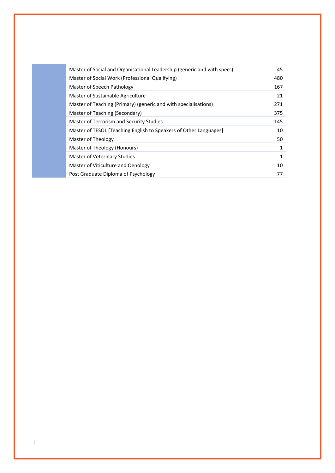| Master of Social and Organisational Leadership (generic and with specs) | 45  |
|-------------------------------------------------------------------------|-----|
| Master of Social Work (Professional Qualifying)                         | 480 |
| Master of Speech Pathology                                              | 167 |
| Master of Sustainable Agriculture                                       | 21  |
| Master of Teaching (Primary) (generic and with specialisations)         | 271 |
| Master of Teaching (Secondary)                                          | 375 |
| Master of Terrorism and Security Studies                                | 145 |
| Master of TESOL [Teaching English to Speakers of Other Languages]       | 10  |
| Master of Theology                                                      | 50  |
| Master of Theology (Honours)                                            | 1   |
| Master of Veterinary Studies                                            | 1   |
| Master of Viticulture and Oenology                                      | 10  |
| Post Graduate Diploma of Psychology                                     | 77  |

 $\|$